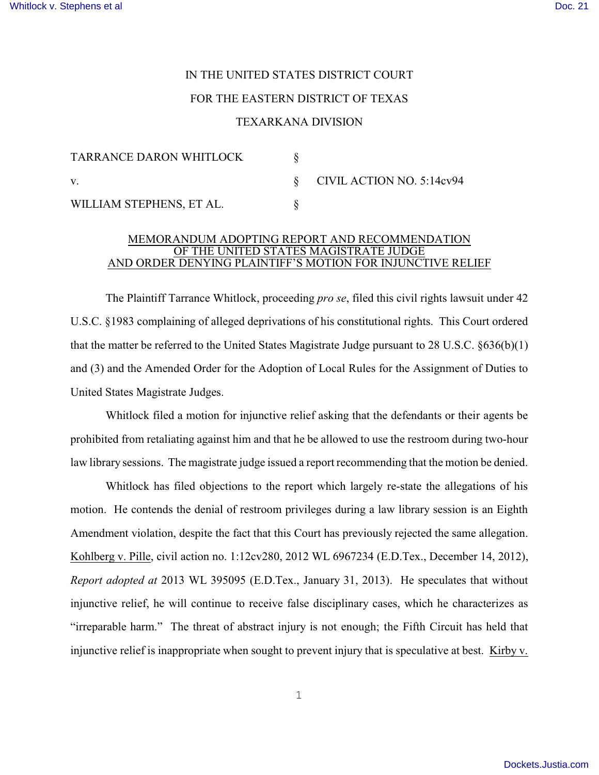## IN THE UNITED STATES DISTRICT COURT

## FOR THE EASTERN DISTRICT OF TEXAS

## TEXARKANA DIVISION

| TARRANCE DARON WHITLOCK  |                                |
|--------------------------|--------------------------------|
| $\mathbf{V}$ .           | $\S$ CIVIL ACTION NO. 5:14cv94 |
| WILLIAM STEPHENS, ET AL. |                                |

## MEMORANDUM ADOPTING REPORT AND RECOMMENDATION OF THE UNITED STATES MAGISTRATE JUDGE AND ORDER DENYING PLAINTIFF'S MOTION FOR INJUNCTIVE RELIEF

The Plaintiff Tarrance Whitlock, proceeding *pro se*, filed this civil rights lawsuit under 42 U.S.C. §1983 complaining of alleged deprivations of his constitutional rights. This Court ordered that the matter be referred to the United States Magistrate Judge pursuant to 28 U.S.C. §636(b)(1) and (3) and the Amended Order for the Adoption of Local Rules for the Assignment of Duties to United States Magistrate Judges.

Whitlock filed a motion for injunctive relief asking that the defendants or their agents be prohibited from retaliating against him and that he be allowed to use the restroom during two-hour law library sessions. The magistrate judge issued a report recommending that the motion be denied.

Whitlock has filed objections to the report which largely re-state the allegations of his motion. He contends the denial of restroom privileges during a law library session is an Eighth Amendment violation, despite the fact that this Court has previously rejected the same allegation. Kohlberg v. Pille, civil action no. 1:12cv280, 2012 WL 6967234 (E.D.Tex., December 14, 2012), *Report adopted at* 2013 WL 395095 (E.D.Tex., January 31, 2013). He speculates that without injunctive relief, he will continue to receive false disciplinary cases, which he characterizes as "irreparable harm." The threat of abstract injury is not enough; the Fifth Circuit has held that injunctive relief is inappropriate when sought to prevent injury that is speculative at best. Kirby v.